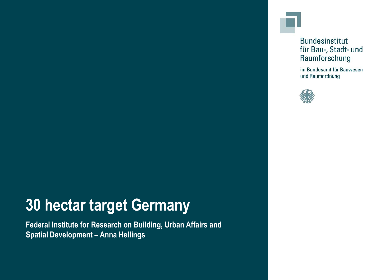#### **Bundesinstitut** für Bau-, Stadt- und Raumforschung

im Bundesamt für Bauwesen und Raumordnung



# **30 hectar target Germany**

**Federal Institute for Research on Building, Urban Affairs and Spatial Development – Anna Hellings**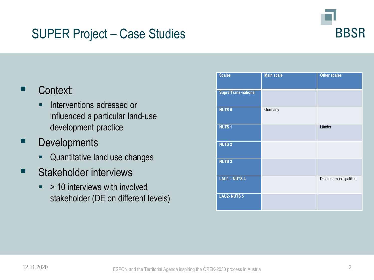#### SUPER Project – Case Studies



#### Context:

- **EXECUTE:** Interventions adressed or influenced a particular land-use development practice
- **Developments** 
	- **Quantitative land use changes**
- Stakeholder interviews
	- $\bullet$  > 10 interviews with involved stakeholder (DE on different levels)

| <b>Scales</b>               | <b>Main scale</b> | <b>Other scales</b>      |
|-----------------------------|-------------------|--------------------------|
| <b>Supra/Trans-national</b> |                   |                          |
| <b>NUTS0</b>                | Germany           |                          |
| <b>NUTS1</b>                |                   | Länder                   |
| <b>NUTS2</b>                |                   |                          |
| <b>NUTS3</b>                |                   |                          |
| <b>LAU1-NUTS4</b>           |                   | Different municipalities |
| <b>LAU2-NUTS 5</b>          |                   |                          |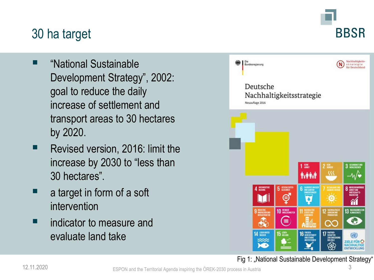# **BBSR**

## 30 ha target

- "National Sustainable Development Strategy", 2002: goal to reduce the daily increase of settlement and transport areas to 30 hectares by 2020.
- Revised version, 2016: limit the increase by 2030 to "less than 30 hectares".
- a target in form of a soft intervention
- indicator to measure and evaluate land take



#### Fig 1: "National Sustainable Development Strategy"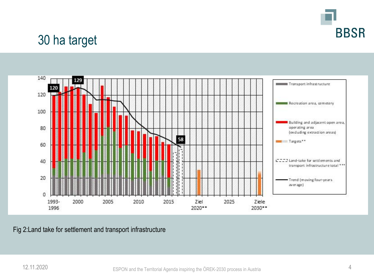

### 30 ha target



Fig 2:Land take for settlement and transport infrastructure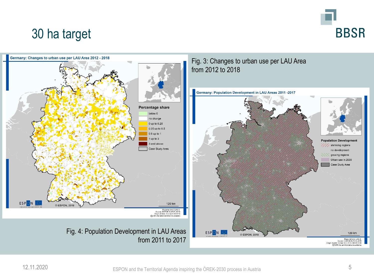

#### 30 ha target

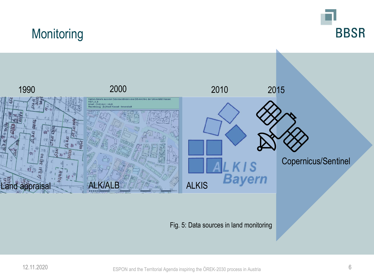## **Monitoring**





Fig. 5: Data sources in land monitoring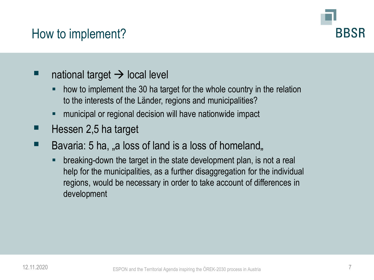#### How to implement?



#### national target  $\rightarrow$  local level

- how to implement the 30 ha target for the whole country in the relation to the interests of the Länder, regions and municipalities?
- municipal or regional decision will have nationwide impact
- Hessen 2,5 ha target
- $\blacksquare$  Bavaria: 5 ha, "a loss of land is a loss of homeland,
	- **EXP** breaking-down the target in the state development plan, is not a real help for the municipalities, as a further disaggregation for the individual regions, would be necessary in order to take account of differences in development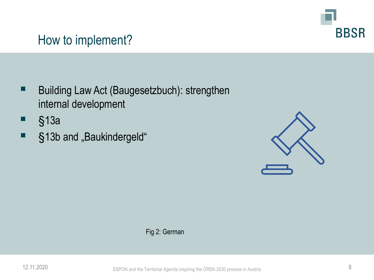

#### How to implement?

- Building Law Act (Baugesetzbuch): strengthen internal development
- §13a
- §13b and "Baukindergeld"



Fig 2: German